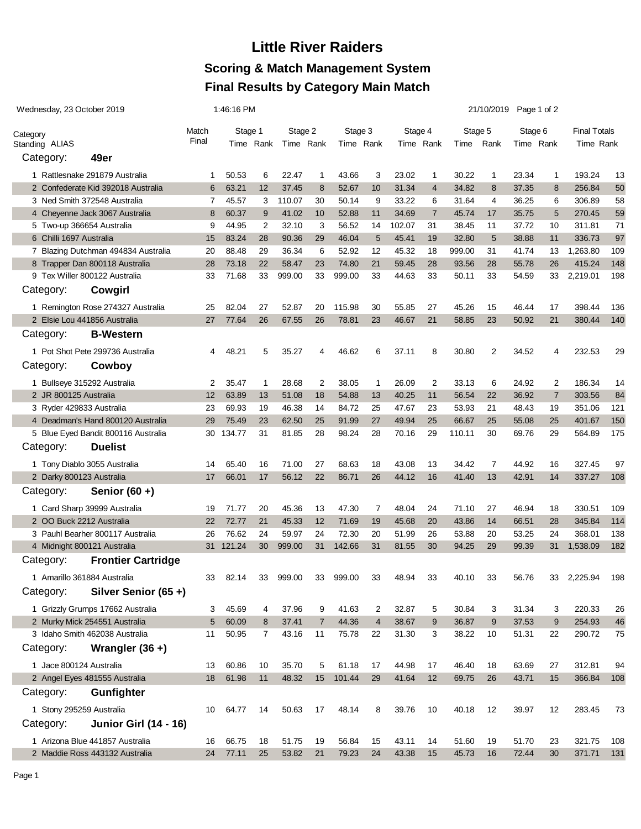## **Little River Raiders Scoring & Match Management System Final Results by Category Main Match**

| Wednesday, 23 October 2019                        | 1:46:16 PM       |                |              |                    |                | 21/10/2019<br>Page 1 of 2 |                |                |                |                |         |                     |                     |                  |           |
|---------------------------------------------------|------------------|----------------|--------------|--------------------|----------------|---------------------------|----------------|----------------|----------------|----------------|---------|---------------------|---------------------|------------------|-----------|
| Category                                          | Match<br>Stage 1 |                |              | Stage 3<br>Stage 2 |                | Stage 4                   |                | Stage 5        |                | Stage 6        |         | <b>Final Totals</b> |                     |                  |           |
| Standing ALIAS                                    | Final            |                | Time Rank    | Time Rank          |                | Time Rank                 |                |                | Time Rank      | Time           | Rank    | Time Rank           |                     | Time Rank        |           |
| Category:<br>49er                                 |                  |                |              |                    |                |                           |                |                |                |                |         |                     |                     |                  |           |
| 1 Rattlesnake 291879 Australia                    | 1                | 50.53          | 6            | 22.47              | -1             | 43.66                     | 3              | 23.02          | 1              | 30.22          | 1       | 23.34               | -1                  | 193.24           | 13        |
| 2 Confederate Kid 392018 Australia                | 6                | 63.21          | 12           | 37.45              | 8              | 52.67                     | 10             | 31.34          | $\overline{4}$ | 34.82          | 8       | 37.35               | 8                   | 256.84           | 50        |
| 3 Ned Smith 372548 Australia                      | 7                | 45.57          | 3            | 110.07             | 30             | 50.14                     | 9              | 33.22          | 6              | 31.64          | 4       | 36.25               | 6                   | 306.89           | 58        |
| 4 Cheyenne Jack 3067 Australia                    | 8                | 60.37          | 9            | 41.02              | 10             | 52.88                     | 11             | 34.69          | $\overline{7}$ | 45.74          | 17      | 35.75               | 5                   | 270.45           | 59        |
| 5 Two-up 366654 Australia                         | 9                | 44.95          | 2            | 32.10              | 3              | 56.52                     | 14             | 102.07         | 31             | 38.45          | 11      | 37.72               | 10                  | 311.81           | 71        |
| 6 Chilli 1697 Australia                           | 15               | 83.24          | 28           | 90.36              | 29             | 46.04                     | 5              | 45.41          | 19             | 32.80          | 5       | 38.88               | 11                  | 336.73           | 97        |
| 7 Blazing Dutchman 494834 Australia               | 20               | 88.48          | 29           | 36.34              | 6              | 52.92                     | 12             | 45.32          | 18             | 999.00         | 31      | 41.74               | 13                  | 1,263.80         | 109       |
| 8 Trapper Dan 800118 Australia                    | 28               | 73.18          | 22           | 58.47              | 23             | 74.80                     | 21             | 59.45          | 28             | 93.56          | 28      | 55.78               | 26                  | 415.24           | 148       |
| 9 Tex Willer 800122 Australia                     | 33               | 71.68          | 33           | 999.00             | 33             | 999.00                    | 33             | 44.63          | 33             | 50.11          | 33      | 54.59               | 33                  | 2,219.01         | 198       |
| Category:<br>Cowgirl                              |                  |                |              |                    |                |                           |                |                |                |                |         |                     |                     |                  |           |
| 1 Remington Rose 274327 Australia                 | 25               | 82.04          | 27           | 52.87              | 20             | 115.98                    | 30             | 55.85          | 27             | 45.26          | 15      | 46.44               | 17                  | 398.44           | 136       |
| 2 Elsie Lou 441856 Australia                      | 27               | 77.64          | 26           | 67.55              | 26             | 78.81                     | 23             | 46.67          | 21             | 58.85          | 23      | 50.92               | 21                  | 380.44           | 140       |
| <b>B-Western</b><br>Category:                     |                  |                |              |                    |                |                           |                |                |                |                |         |                     |                     |                  |           |
| 1 Pot Shot Pete 299736 Australia                  | 4                | 48.21          | 5            | 35.27              | 4              | 46.62                     | 6              | 37.11          | 8              | 30.80          | 2       | 34.52               | 4                   | 232.53           | 29        |
| Category:<br>Cowboy                               |                  |                |              |                    |                |                           |                |                |                |                |         |                     |                     |                  |           |
|                                                   |                  |                |              |                    |                |                           |                |                |                |                |         |                     |                     |                  |           |
| 1 Bullseye 315292 Australia                       | 2<br>12          | 35.47          | $\mathbf{1}$ | 28.68              | 2              | 38.05                     | 1              | 26.09          | $\overline{2}$ | 33.13          | 6<br>22 | 24.92               | 2<br>$\overline{7}$ | 186.34           | 14        |
| 2 JR 800125 Australia<br>3 Ryder 429833 Australia | 23               | 63.89<br>69.93 | 13<br>19     | 51.08<br>46.38     | 18<br>14       | 54.88<br>84.72            | 13<br>25       | 40.25<br>47.67 | 11<br>23       | 56.54<br>53.93 | 21      | 36.92<br>48.43      | 19                  | 303.56<br>351.06 | 84<br>121 |
| 4 Deadman's Hand 800120 Australia                 | 29               | 75.49          | 23           | 62.50              | 25             | 91.99                     | 27             | 49.94          | 25             | 66.67          | 25      | 55.08               | 25                  | 401.67           | 150       |
| 5 Blue Eyed Bandit 800116 Australia               | 30               | 134.77         | 31           | 81.85              | 28             | 98.24                     | 28             | 70.16          | 29             | 110.11         | 30      | 69.76               | 29                  | 564.89           | 175       |
| Category:<br><b>Duelist</b>                       |                  |                |              |                    |                |                           |                |                |                |                |         |                     |                     |                  |           |
|                                                   |                  |                |              |                    |                |                           |                |                |                |                |         |                     |                     |                  |           |
| 1 Tony Diablo 3055 Australia                      | 14               | 65.40          | 16           | 71.00              | 27             | 68.63                     | 18             | 43.08          | 13             | 34.42          | 7       | 44.92               | 16                  | 327.45           | 97        |
| 2 Darky 800123 Australia                          | 17               | 66.01          | 17           | 56.12              | 22             | 86.71                     | 26             | 44.12          | 16             | 41.40          | 13      | 42.91               | 14                  | 337.27           | 108       |
| Category:<br>Senior $(60 +)$                      |                  |                |              |                    |                |                           |                |                |                |                |         |                     |                     |                  |           |
| 1 Card Sharp 39999 Australia                      | 19               | 71.77          | 20           | 45.36              | 13             | 47.30                     | 7              | 48.04          | 24             | 71.10          | 27      | 46.94               | 18                  | 330.51           | 109       |
| 2 OO Buck 2212 Australia                          | 22               | 72.77          | 21           | 45.33              | 12             | 71.69                     | 19             | 45.68          | 20             | 43.86          | 14      | 66.51               | 28                  | 345.84           | 114       |
| 3 Pauhl Bearher 800117 Australia                  | 26               | 76.62          | 24           | 59.97              | 24             | 72.30                     | 20             | 51.99          | 26             | 53.88          | 20      | 53.25               | 24                  | 368.01           | 138       |
| 4 Midnight 800121 Australia                       |                  | 31 121.24      | 30           | 999.00             | 31             | 142.66                    | 31             | 81.55          | 30             | 94.25          | 29      | 99.39               | 31                  | 1,538.09         | 182       |
| Category:<br><b>Frontier Cartridge</b>            |                  |                |              |                    |                |                           |                |                |                |                |         |                     |                     |                  |           |
| 1 Amarillo 361884 Australia                       | 33               | 82.14          | 33           | 999.00             | 33             | 999.00                    | 33             | 48.94          | 33             | 40.10          | 33      | 56.76               | 33                  | 2,225.94         | 198       |
| Category:<br>Silver Senior (65+)                  |                  |                |              |                    |                |                           |                |                |                |                |         |                     |                     |                  |           |
| 1 Grizzly Grumps 17662 Australia                  | 3                | 45.69          | 4            | 37.96              | 9              | 41.63                     | 2              | 32.87          | 5              | 30.84          | 3       | 31.34               | 3                   | 220.33           | 26        |
| 2 Murky Mick 254551 Australia                     | $5\phantom{.0}$  | 60.09          | 8            | 37.41              | $\overline{7}$ | 44.36                     | $\overline{4}$ | 38.67          | 9              | 36.87          | 9       | 37.53               | 9                   | 254.93           | 46        |
| 3 Idaho Smith 462038 Australia                    | 11               | 50.95          | 7            | 43.16              | 11             | 75.78                     | 22             | 31.30          | 3              | 38.22          | 10      | 51.31               | 22                  | 290.72           | 75        |
| Category:<br>Wrangler $(36 +)$                    |                  |                |              |                    |                |                           |                |                |                |                |         |                     |                     |                  |           |
|                                                   |                  |                |              |                    |                |                           |                |                |                |                |         |                     |                     |                  |           |
| 1 Jace 800124 Australia                           | 13               | 60.86          | 10           | 35.70              | 5              | 61.18                     | 17             | 44.98          | 17             | 46.40          | 18      | 63.69               | 27                  | 312.81           | 94        |
| 2 Angel Eyes 481555 Australia                     | 18               | 61.98          | 11           | 48.32              | 15             | 101.44                    | 29             | 41.64          | 12             | 69.75          | 26      | 43.71               | 15                  | 366.84           | 108       |
| Category:<br>Gunfighter                           |                  |                |              |                    |                |                           |                |                |                |                |         |                     |                     |                  |           |
| 1 Stony 295259 Australia                          | 10               | 64.77          | 14           | 50.63              | 17             | 48.14                     | 8              | 39.76          | 10             | 40.18          | 12      | 39.97               | 12                  | 283.45           | 73        |
| <b>Junior Girl (14 - 16)</b><br>Category:         |                  |                |              |                    |                |                           |                |                |                |                |         |                     |                     |                  |           |
| 1 Arizona Blue 441857 Australia                   | 16               | 66.75          | 18           | 51.75              | 19             | 56.84                     | 15             | 43.11          | 14             | 51.60          | 19      | 51.70               | 23                  | 321.75           | 108       |
| 2 Maddie Ross 443132 Australia                    | 24               | 77.11          | 25           | 53.82              | 21             | 79.23                     | 24             | 43.38          | 15             | 45.73          | 16      | 72.44               | 30                  | 371.71           | 131       |